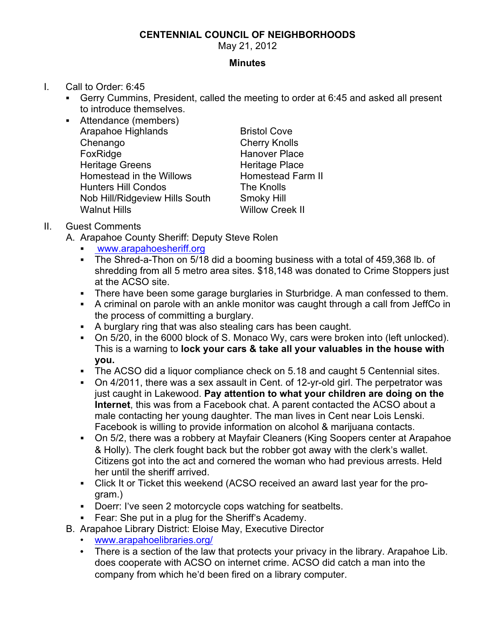## **CENTENNIAL COUNCIL OF NEIGHBORHOODS**

May 21, 2012

## **Minutes**

- I. Call to Order: 6:45
	- ! Gerry Cummins, President, called the meeting to order at 6:45 and asked all present to introduce themselves.
	- ! Attendance (members) Arapahoe Highlands Bristol Cove Chenango Cherry Knolls FoxRidge Hanover Place Heritage Greens **Heritage Place** Homestead in the Willows Homestead Farm II Hunters Hill Condos The Knolls Nob Hill/Ridgeview Hills South Smoky Hill Walnut Hills Willow Creek II

- II. Guest Comments
	- A. Arapahoe County Sheriff: Deputy Steve Rolen
		- www.arapahoesheriff.org
		- ! The Shred-a-Thon on 5/18 did a booming business with a total of 459,368 lb. of shredding from all 5 metro area sites. \$18,148 was donated to Crime Stoppers just at the ACSO site.
		- ! There have been some garage burglaries in Sturbridge. A man confessed to them.
		- ! A criminal on parole with an ankle monitor was caught through a call from JeffCo in the process of committing a burglary.
		- ! A burglary ring that was also stealing cars has been caught.
		- ! On 5/20, in the 6000 block of S. Monaco Wy, cars were broken into (left unlocked). This is a warning to **lock your cars & take all your valuables in the house with you.**
		- The ACSO did a liquor compliance check on 5.18 and caught 5 Centennial sites.
		- ! On 4/2011, there was a sex assault in Cent. of 12-yr-old girl. The perpetrator was just caught in Lakewood. **Pay attention to what your children are doing on the Internet**, this was from a Facebook chat. A parent contacted the ACSO about a male contacting her young daughter. The man lives in Cent near Lois Lenski. Facebook is willing to provide information on alcohol & marijuana contacts.
		- ! On 5/2, there was a robbery at Mayfair Cleaners (King Soopers center at Arapahoe & Holly). The clerk fought back but the robber got away with the clerk's wallet. Citizens got into the act and cornered the woman who had previous arrests. Held her until the sheriff arrived.
		- ! Click It or Ticket this weekend (ACSO received an award last year for the program.)
		- ! Doerr: I've seen 2 motorcycle cops watching for seatbelts.
		- ! Fear: She put in a plug for the Sheriff's Academy.
	- B. Arapahoe Library District: Eloise May, Executive Director
		- www.arapahoelibraries.org/
		- There is a section of the law that protects your privacy in the library. Arapahoe Lib. does cooperate with ACSO on internet crime. ACSO did catch a man into the company from which he'd been fired on a library computer.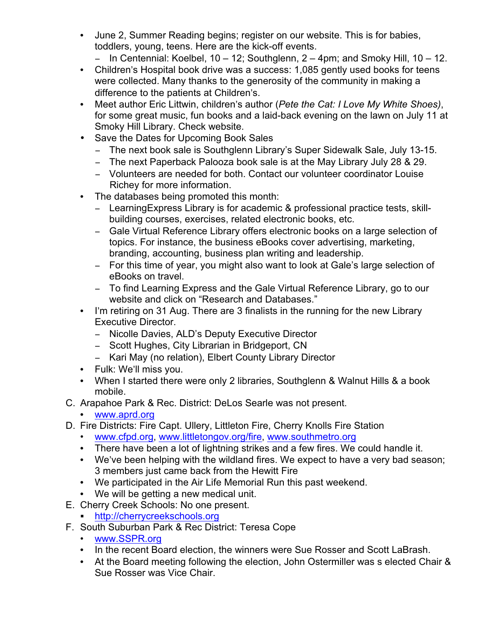- June 2, Summer Reading begins; register on our website. This is for babies, toddlers, young, teens. Here are the kick-off events.
	- $-$  In Centennial: Koelbel, 10 12; Southglenn, 2 4pm; and Smoky Hill, 10 12.
- Children's Hospital book drive was a success: 1,085 gently used books for teens were collected. Many thanks to the generosity of the community in making a difference to the patients at Children's.
- Meet author Eric Littwin, children's author (*Pete the Cat: I Love My White Shoes)*, for some great music, fun books and a laid-back evening on the lawn on July 11 at Smoky Hill Library. Check website.
- Save the Dates for Upcoming Book Sales
	- The next book sale is Southglenn Library's Super Sidewalk Sale, July 13-15.
	- The next Paperback Palooza book sale is at the May Library July 28 & 29.
	- Volunteers are needed for both. Contact our volunteer coordinator Louise Richey for more information.
- The databases being promoted this month:
	- LearningExpress Library is for academic & professional practice tests, skillbuilding courses, exercises, related electronic books, etc.
	- Gale Virtual Reference Library offers electronic books on a large selection of topics. For instance, the business eBooks cover advertising, marketing, branding, accounting, business plan writing and leadership.
	- For this time of year, you might also want to look at Gale's large selection of eBooks on travel.
	- To find Learning Express and the Gale Virtual Reference Library, go to our website and click on "Research and Databases."
- I'm retiring on 31 Aug. There are 3 finalists in the running for the new Library Executive Director.
	- Nicolle Davies, ALD's Deputy Executive Director
	- Scott Hughes, City Librarian in Bridgeport, CN
	- Kari May (no relation), Elbert County Library Director
- Fulk: We'll miss you.
- When I started there were only 2 libraries, Southglenn & Walnut Hills & a book mobile.
- C. Arapahoe Park & Rec. District: DeLos Searle was not present.
	- www.aprd.org
- D. Fire Districts: Fire Capt. Ullery, Littleton Fire, Cherry Knolls Fire Station
	- www.cfpd.org, www.littletongov.org/fire, www.southmetro.org
	- There have been a lot of lightning strikes and a few fires. We could handle it.
	- We've been helping with the wildland fires. We expect to have a very bad season; 3 members just came back from the Hewitt Fire
	- We participated in the Air Life Memorial Run this past weekend.
	- We will be getting a new medical unit.
- E. Cherry Creek Schools: No one present.
	- http://cherrycreekschools.org
- F. South Suburban Park & Rec District: Teresa Cope
	- www.SSPR.org
	- In the recent Board election, the winners were Sue Rosser and Scott LaBrash.
	- At the Board meeting following the election, John Ostermiller was s elected Chair & Sue Rosser was Vice Chair.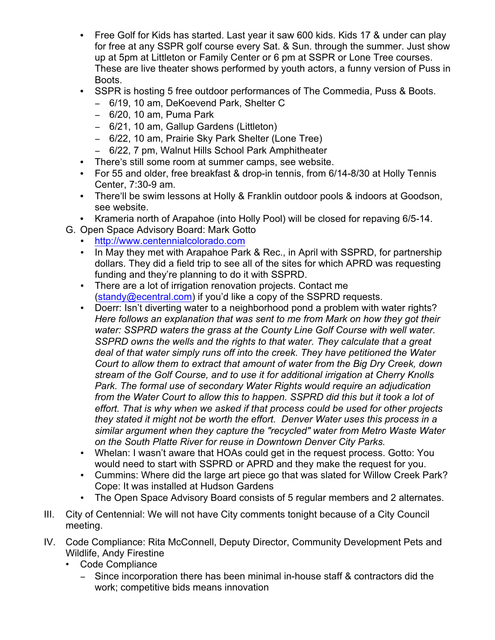- Free Golf for Kids has started. Last year it saw 600 kids. Kids 17 & under can play for free at any SSPR golf course every Sat. & Sun. through the summer. Just show up at 5pm at Littleton or Family Center or 6 pm at SSPR or Lone Tree courses. These are live theater shows performed by youth actors, a funny version of Puss in Boots.
- SSPR is hosting 5 free outdoor performances of The Commedia, Puss & Boots.
	- 6/19, 10 am, DeKoevend Park, Shelter C
	- ! 6/20, 10 am, Puma Park
	- 6/21, 10 am, Gallup Gardens (Littleton)
	- 6/22, 10 am, Prairie Sky Park Shelter (Lone Tree)
	- 6/22, 7 pm, Walnut Hills School Park Amphitheater
- There's still some room at summer camps, see website.
- For 55 and older, free breakfast & drop-in tennis, from 6/14-8/30 at Holly Tennis Center, 7:30-9 am.
- There'll be swim lessons at Holly & Franklin outdoor pools & indoors at Goodson, see website.
- Krameria north of Arapahoe (into Holly Pool) will be closed for repaving 6/5-14.
- G. Open Space Advisory Board: Mark Gotto
	- http://www.centennialcolorado.com
	- In May they met with Arapahoe Park & Rec., in April with SSPRD, for partnership dollars. They did a field trip to see all of the sites for which APRD was requesting funding and they're planning to do it with SSPRD.
	- There are a lot of irrigation renovation projects. Contact me (standy@ecentral.com) if you'd like a copy of the SSPRD requests.
	- Doerr: Isn't diverting water to a neighborhood pond a problem with water rights? *Here follows an explanation that was sent to me from Mark on how they got their water: SSPRD waters the grass at the County Line Golf Course with well water. SSPRD owns the wells and the rights to that water. They calculate that a great deal of that water simply runs off into the creek. They have petitioned the Water Court to allow them to extract that amount of water from the Big Dry Creek, down stream of the Golf Course, and to use it for additional irrigation at Cherry Knolls Park. The formal use of secondary Water Rights would require an adjudication from the Water Court to allow this to happen. SSPRD did this but it took a lot of effort. That is why when we asked if that process could be used for other projects they stated it might not be worth the effort. Denver Water uses this process in a similar argument when they capture the "recycled" water from Metro Waste Water on the South Platte River for reuse in Downtown Denver City Parks.*
	- Whelan: I wasn't aware that HOAs could get in the request process. Gotto: You would need to start with SSPRD or APRD and they make the request for you.
	- Cummins: Where did the large art piece go that was slated for Willow Creek Park? Cope: It was installed at Hudson Gardens
	- The Open Space Advisory Board consists of 5 regular members and 2 alternates.
- III. City of Centennial: We will not have City comments tonight because of a City Council meeting.
- IV. Code Compliance: Rita McConnell, Deputy Director, Community Development Pets and Wildlife, Andy Firestine
	- Code Compliance
		- Since incorporation there has been minimal in-house staff & contractors did the work; competitive bids means innovation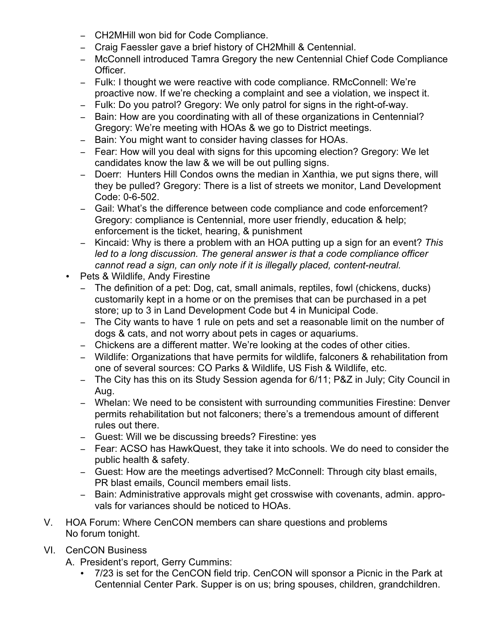- CH2MHill won bid for Code Compliance.
- Craig Faessler gave a brief history of CH2Mhill & Centennial.
- McConnell introduced Tamra Gregory the new Centennial Chief Code Compliance Officer.
- Fulk: I thought we were reactive with code compliance. RMcConnell: We're proactive now. If we're checking a complaint and see a violation, we inspect it.
- Fulk: Do you patrol? Gregory: We only patrol for signs in the right-of-way.
- Bain: How are you coordinating with all of these organizations in Centennial? Gregory: We're meeting with HOAs & we go to District meetings.
- Bain: You might want to consider having classes for HOAs.
- Fear: How will you deal with signs for this upcoming election? Gregory: We let candidates know the law & we will be out pulling signs.
- Doerr: Hunters Hill Condos owns the median in Xanthia, we put signs there, will they be pulled? Gregory: There is a list of streets we monitor, Land Development Code: 0-6-502.
- Gail: What's the difference between code compliance and code enforcement? Gregory: compliance is Centennial, more user friendly, education & help; enforcement is the ticket, hearing, & punishment
- ! Kincaid: Why is there a problem with an HOA putting up a sign for an event? *This led to a long discussion. The general answer is that a code compliance officer cannot read a sign, can only note if it is illegally placed, content-neutral.*
- Pets & Wildlife, Andy Firestine
	- The definition of a pet: Dog, cat, small animals, reptiles, fowl (chickens, ducks) customarily kept in a home or on the premises that can be purchased in a pet store; up to 3 in Land Development Code but 4 in Municipal Code.
	- The City wants to have 1 rule on pets and set a reasonable limit on the number of dogs & cats, and not worry about pets in cages or aquariums.
	- Chickens are a different matter. We're looking at the codes of other cities.
	- Wildlife: Organizations that have permits for wildlife, falconers & rehabilitation from one of several sources: CO Parks & Wildlife, US Fish & Wildlife, etc.
	- The City has this on its Study Session agenda for 6/11; P&Z in July; City Council in Aug.
	- Whelan: We need to be consistent with surrounding communities Firestine: Denver permits rehabilitation but not falconers; there's a tremendous amount of different rules out there.
	- Guest: Will we be discussing breeds? Firestine: yes
	- Fear: ACSO has HawkQuest, they take it into schools. We do need to consider the public health & safety.
	- Guest: How are the meetings advertised? McConnell: Through city blast emails, PR blast emails, Council members email lists.
	- Bain: Administrative approvals might get crosswise with covenants, admin. approvals for variances should be noticed to HOAs.
- V. HOA Forum: Where CenCON members can share questions and problems No forum tonight.
- VI. CenCON Business
	- A. President's report, Gerry Cummins:
		- 7/23 is set for the CenCON field trip. CenCON will sponsor a Picnic in the Park at Centennial Center Park. Supper is on us; bring spouses, children, grandchildren.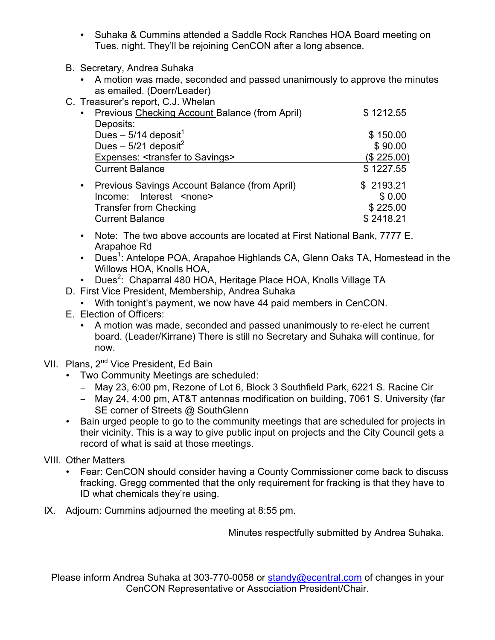- Suhaka & Cummins attended a Saddle Rock Ranches HOA Board meeting on Tues. night. They'll be rejoining CenCON after a long absence.
- B. Secretary, Andrea Suhaka
	- A motion was made, seconded and passed unanimously to approve the minutes as emailed. (Doerr/Leader)
- C. Treasurer's report, C.J. Whelan

|           | Thoubard, or opony old. Thiskn                   |            |
|-----------|--------------------------------------------------|------------|
| $\bullet$ | Previous Checking Account Balance (from April)   | \$1212.55  |
|           | Deposits:                                        |            |
|           | Dues $-5/14$ deposit <sup>1</sup>                | \$150.00   |
|           | Dues – $5/21$ deposit <sup>2</sup>               | \$90.00    |
|           | Expenses: <transfer savings="" to=""></transfer> | (\$225.00) |
|           | <b>Current Balance</b>                           | \$1227.55  |
| $\bullet$ | Previous Savings Account Balance (from April)    | \$2193.21  |
|           | Income: Interest <none></none>                   | \$0.00     |
|           | <b>Transfer from Checking</b>                    | \$225.00   |
|           | <b>Current Balance</b>                           | \$2418.21  |
|           |                                                  |            |

- Note: The two above accounts are located at First National Bank, 7777 E. Arapahoe Rd
- Dues<sup>1</sup>: Antelope POA, Arapahoe Highlands CA, Glenn Oaks TA, Homestead in the Willows HOA, Knolls HOA,
- Dues<sup>2</sup>: Chaparral 480 HOA, Heritage Place HOA, Knolls Village TA
- D. First Vice President, Membership, Andrea Suhaka
	- With tonight's payment, we now have 44 paid members in CenCON.
- E. Election of Officers:
	- A motion was made, seconded and passed unanimously to re-elect he current board. (Leader/Kirrane) There is still no Secretary and Suhaka will continue, for now.
- VII. Plans, 2<sup>nd</sup> Vice President, Ed Bain
	- Two Community Meetings are scheduled:
		- May 23, 6:00 pm, Rezone of Lot 6, Block 3 Southfield Park, 6221 S. Racine Cir
		- May 24, 4:00 pm, AT&T antennas modification on building, 7061 S. University (far SE corner of Streets @ SouthGlenn
	- Bain urged people to go to the community meetings that are scheduled for projects in their vicinity. This is a way to give public input on projects and the City Council gets a record of what is said at those meetings.
- VIII. Other Matters
	- Fear: CenCON should consider having a County Commissioner come back to discuss fracking. Gregg commented that the only requirement for fracking is that they have to ID what chemicals they're using.
- IX. Adjourn: Cummins adjourned the meeting at 8:55 pm.

Minutes respectfully submitted by Andrea Suhaka.

Please inform Andrea Suhaka at 303-770-0058 or standy@ecentral.com of changes in your CenCON Representative or Association President/Chair.